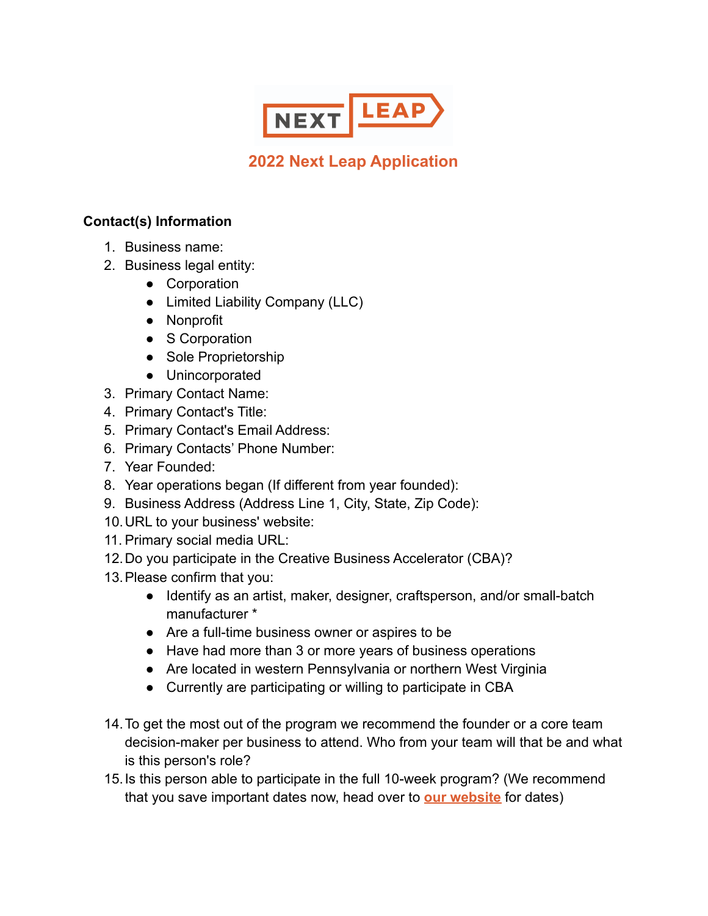

# **2022 Next Leap Application**

## **Contact(s) Information**

- 1. Business name:
- 2. Business legal entity:
	- Corporation
	- Limited Liability Company (LLC)
	- Nonprofit
	- S Corporation
	- Sole Proprietorship
	- Unincorporated
- 3. Primary Contact Name:
- 4. Primary Contact's Title:
- 5. Primary Contact's Email Address:
- 6. Primary Contacts' Phone Number:
- 7. Year Founded:
- 8. Year operations began (If different from year founded):
- 9. Business Address (Address Line 1, City, State, Zip Code):
- 10.URL to your business' website:
- 11. Primary social media URL:
- 12.Do you participate in the Creative Business Accelerator (CBA)?
- 13.Please confirm that you:
	- Identify as an artist, maker, designer, craftsperson, and/or small-batch manufacturer \*
	- Are a full-time business owner or aspires to be
	- Have had more than 3 or more years of business operations
	- Are located in western Pennsylvania or northern West Virginia
	- Currently are participating or willing to participate in CBA
- 14.To get the most out of the program we recommend the founder or a core team decision-maker per business to attend. Who from your team will that be and what is this person's role?
- 15.Is this person able to participate in the full 10-week program? (We recommend that you save important dates now, head over to **our [website](https://www.bridgewaycapital.org/creative-business-accelerator/2022-next-leap-program/)** for dates)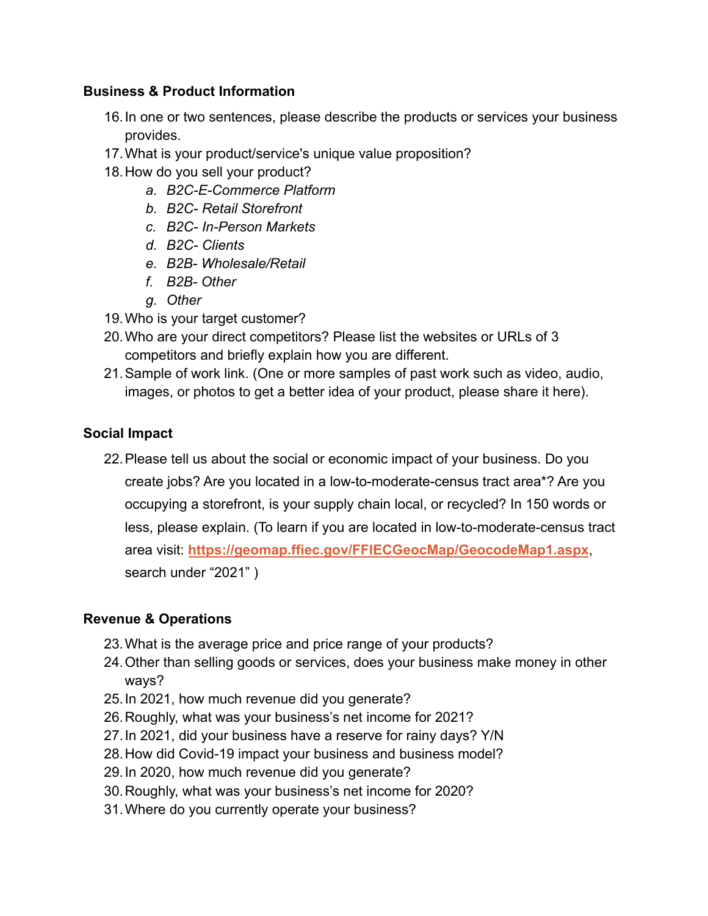### **Business & Product Information**

- 16.In one or two sentences, please describe the products or services your business provides.
- 17.What is your product/service's unique value proposition?
- 18.How do you sell your product?
	- *a. B2C-E-Commerce Platform*
	- *b. B2C- Retail Storefront*
	- *c. B2C- In-Person Markets*
	- *d. B2C- Clients*
	- *e. B2B- Wholesale/Retail*
	- *f. B2B- Other*
	- *g. Other*
- 19.Who is your target customer?
- 20.Who are your direct competitors? Please list the websites or URLs of 3 competitors and briefly explain how you are different.
- 21.Sample of work link. (One or more samples of past work such as video, audio, images, or photos to get a better idea of your product, please share it here).

## **Social Impact**

22.Please tell us about the social or economic impact of your business. Do you create jobs? Are you located in a low-to-moderate-census tract area\*? Are you occupying a storefront, is your supply chain local, or recycled? In 150 words or less, please explain. (To learn if you are located in low-to-moderate-census tract area visit: **<https://geomap.ffiec.gov/FFIECGeocMap/GeocodeMap1.aspx>**, search under "2021" )

#### **Revenue & Operations**

- 23.What is the average price and price range of your products?
- 24.Other than selling goods or services, does your business make money in other ways?
- 25.In 2021, how much revenue did you generate?
- 26.Roughly, what was your business's net income for 2021?
- 27.In 2021, did your business have a reserve for rainy days? Y/N
- 28.How did Covid-19 impact your business and business model?
- 29.In 2020, how much revenue did you generate?
- 30.Roughly, what was your business's net income for 2020?
- 31.Where do you currently operate your business?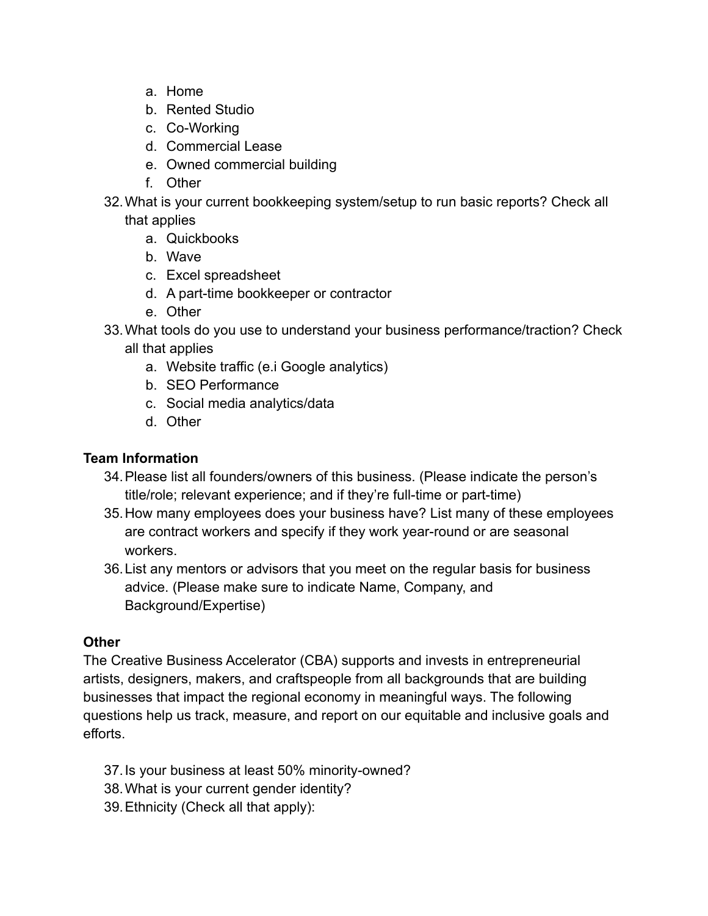- a. Home
- b. Rented Studio
- c. Co-Working
- d. Commercial Lease
- e. Owned commercial building
- f. Other
- 32.What is your current bookkeeping system/setup to run basic reports? Check all that applies
	- a. Quickbooks
	- b. Wave
	- c. Excel spreadsheet
	- d. A part-time bookkeeper or contractor
	- e. Other
- 33.What tools do you use to understand your business performance/traction? Check all that applies
	- a. Website traffic (e.i Google analytics)
	- b. SEO Performance
	- c. Social media analytics/data
	- d. Other

### **Team Information**

- 34.Please list all founders/owners of this business. (Please indicate the person's title/role; relevant experience; and if they're full-time or part-time)
- 35.How many employees does your business have? List many of these employees are contract workers and specify if they work year-round or are seasonal workers.
- 36.List any mentors or advisors that you meet on the regular basis for business advice. (Please make sure to indicate Name, Company, and Background/Expertise)

#### **Other**

The Creative Business Accelerator (CBA) supports and invests in entrepreneurial artists, designers, makers, and craftspeople from all backgrounds that are building businesses that impact the regional economy in meaningful ways. The following questions help us track, measure, and report on our equitable and inclusive goals and efforts.

- 37.Is your business at least 50% minority-owned?
- 38.What is your current gender identity?
- 39.Ethnicity (Check all that apply):